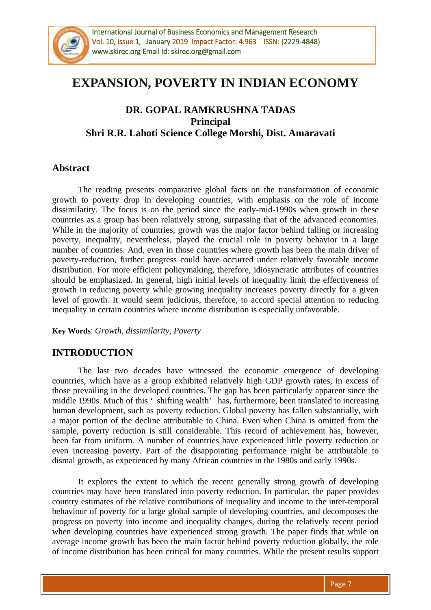

# **EXPANSION, POVERTY IN INDIAN ECONOMY**

## **DR. GOPAL RAMKRUSHNA TADAS Principal Shri R.R. Lahoti Science College Morshi, Dist. Amaravati**

## **Abstract**

The reading presents comparative global facts on the transformation of economic growth to poverty drop in developing countries, with emphasis on the role of income dissimilarity. The focus is on the period since the early-mid-1990s when growth in these countries as a group has been relatively strong, surpassing that of the advanced economies. While in the majority of countries, growth was the major factor behind falling or increasing poverty, inequality, nevertheless, played the crucial role in poverty behavior in a large number of countries. And, even in those countries where growth has been the main driver of poverty-reduction, further progress could have occurred under relatively favorable income distribution. For more efficient policymaking, therefore, idiosyncratic attributes of countries should be emphasized. In general, high initial levels of inequality limit the effectiveness of growth in reducing poverty while growing inequality increases poverty directly for a given level of growth. It would seem judicious, therefore, to accord special attention to reducing inequality in certain countries where income distribution is especially unfavorable.

**Key Words**: *Growth, dissimilarity, Poverty*

## **INTRODUCTION**

The last two decades have witnessed the economic emergence of developing countries, which have as a group exhibited relatively high GDP growth rates, in excess of those prevailing in the developed countries. The gap has been particularly apparent since the middle 1990s. Much of this ' shifting wealth' has, furthermore, been translated to increasing human development, such as poverty reduction. Global poverty has fallen substantially, with a major portion of the decline attributable to China. Even when China is omitted from the sample, poverty reduction is still considerable. This record of achievement has, however, been far from uniform. A number of countries have experienced little poverty reduction or even increasing poverty. Part of the disappointing performance might be attributable to dismal growth, as experienced by many African countries in the 1980s and early 1990s.

It explores the extent to which the recent generally strong growth of developing countries may have been translated into poverty reduction. In particular, the paper provides country estimates of the relative contributions of inequality and income to the inter-temporal behaviour of poverty for a large global sample of developing countries, and decomposes the progress on poverty into income and inequality changes, during the relatively recent period when developing countries have experienced strong growth. The paper finds that while on average income growth has been the main factor behind poverty reduction globally, the role of income distribution has been critical for many countries. While the present results support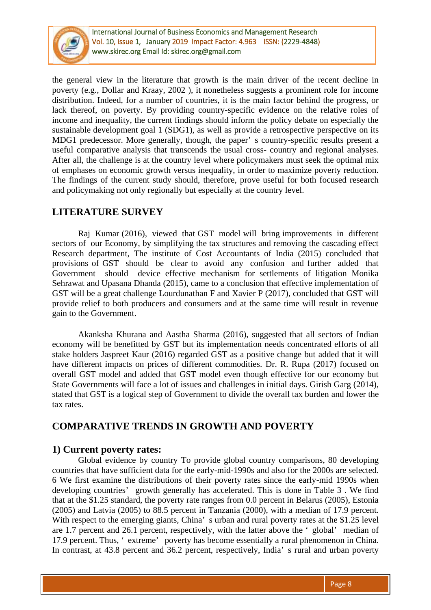

International Journal of Business Economics and Management Research Vol. 10, Issue 1, January 2019 Impact Factor: 4.963 ISSN: (2229-4848) [www.skirec.org E](http://www.skirec.org/)mail Id: skirec.org@gmail.com

the general view in the literature that growth is the main driver of the recent decline in poverty (e.g., Dollar and Kraay, 2002 ), it nonetheless suggests a prominent role for income distribution. Indeed, for a number of countries, it is the main factor behind the progress, or lack thereof, on poverty. By providing country-specific evidence on the relative roles of income and inequality, the current findings should inform the policy debate on especially the sustainable development goal 1 (SDG1), as well as provide a retrospective perspective on its MDG1 predecessor. More generally, though, the paper' s country-specific results present a useful comparative analysis that transcends the usual cross- country and regional analyses. After all, the challenge is at the country level where policymakers must seek the optimal mix of emphases on economic growth versus inequality, in order to maximize poverty reduction. The findings of the current study should, therefore, prove useful for both focused research and policymaking not only regionally but especially at the country level.

# **LITERATURE SURVEY**

Raj Kumar (2016), viewed that GST model will bring improvements in different sectors of our Economy, by simplifying the tax structures and removing the cascading effect Research department, The institute of Cost Accountants of India (2015) concluded that provisions of GST should be clear to avoid any confusion and further added that Government should device effective mechanism for settlements of litigation Monika Sehrawat and Upasana Dhanda (2015), came to a conclusion that effective implementation of GST will be a great challenge Lourdunathan F and Xavier P (2017), concluded that GST will provide relief to both producers and consumers and at the same time will result in revenue gain to the Government.

Akanksha Khurana and Aastha Sharma (2016), suggested that all sectors of Indian economy will be benefitted by GST but its implementation needs concentrated efforts of all stake holders Jaspreet Kaur (2016) regarded GST as a positive change but added that it will have different impacts on prices of different commodities. Dr. R. Rupa (2017) focused on overall GST model and added that GST model even though effective for our economy but State Governments will face a lot of issues and challenges in initial days. Girish Garg (2014), stated that GST is a logical step of Government to divide the overall tax burden and lower the tax rates.

# **COMPARATIVE TRENDS IN GROWTH AND POVERTY**

#### **1) Current poverty rates:**

Global evidence by country To provide global country comparisons, 80 developing countries that have sufficient data for the early-mid-1990s and also for the 2000s are selected. 6 We first examine the distributions of their poverty rates since the early-mid 1990s when developing countries' growth generally has accelerated. This is done in Table 3 . We find that at the \$1.25 standard, the poverty rate ranges from 0.0 percent in Belarus (2005), Estonia (2005) and Latvia (2005) to 88.5 percent in Tanzania (2000), with a median of 17.9 percent. With respect to the emerging giants, China's urban and rural poverty rates at the \$1.25 level are 1.7 percent and 26.1 percent, respectively, with the latter above the ' global' median of 17.9 percent. Thus, ' extreme' poverty has become essentially a rural phenomenon in China. In contrast, at 43.8 percent and 36.2 percent, respectively, India' s rural and urban poverty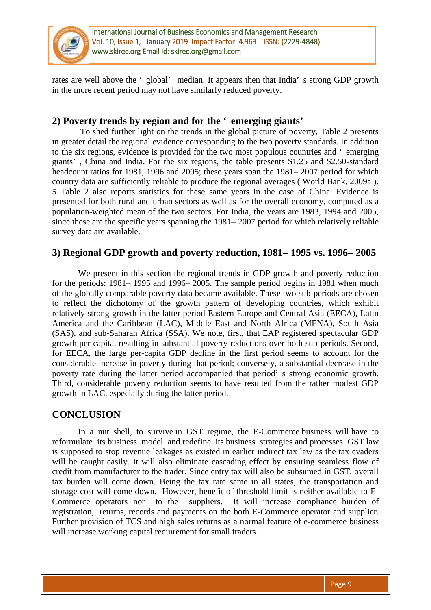

International Journal of Business Economics and Management Research Vol. 10, Issue 1, January 2019 Impact Factor: 4.963 ISSN: (2229-4848) [www.skirec.org E](http://www.skirec.org/)mail Id: skirec.org@gmail.com

rates are well above the ' global' median. It appears then that India' s strong GDP growth in the more recent period may not have similarly reduced poverty.

#### **2) Poverty trends by region and for the ' emerging giants'**

To shed further light on the trends in the global picture of poverty, Table 2 presents in greater detail the regional evidence corresponding to the two poverty standards. In addition to the six regions, evidence is provided for the two most populous countries and ' emerging giants' , China and India. For the six regions, the table presents \$1.25 and \$2.50-standard headcount ratios for 1981, 1996 and 2005; these years span the 1981– 2007 period for which country data are sufficiently reliable to produce the regional averages ( World Bank, 2009a ). 5 Table 2 also reports statistics for these same years in the case of China. Evidence is presented for both rural and urban sectors as well as for the overall economy, computed as a population-weighted mean of the two sectors. For India, the years are 1983, 1994 and 2005, since these are the specific years spanning the 1981– 2007 period for which relatively reliable survey data are available.

#### **3) Regional GDP growth and poverty reduction, 1981– 1995 vs. 1996– 2005**

We present in this section the regional trends in GDP growth and poverty reduction for the periods: 1981– 1995 and 1996– 2005. The sample period begins in 1981 when much of the globally comparable poverty data became available. These two sub-periods are chosen to reflect the dichotomy of the growth pattern of developing countries, which exhibit relatively strong growth in the latter period Eastern Europe and Central Asia (EECA), Latin America and the Caribbean (LAC), Middle East and North Africa (MENA), South Asia (SAS), and sub-Saharan Africa (SSA). We note, first, that EAP registered spectacular GDP growth per capita, resulting in substantial poverty reductions over both sub-periods. Second, for EECA, the large per-capita GDP decline in the first period seems to account for the considerable increase in poverty during that period; conversely, a substantial decrease in the poverty rate during the latter period accompanied that period' s strong economic growth. Third, considerable poverty reduction seems to have resulted from the rather modest GDP growth in LAC, especially during the latter period.

## **CONCLUSION**

In a nut shell, to survive in GST regime, the E-Commerce business will have to reformulate its business model and redefine its business strategies and processes. GST law is supposed to stop revenue leakages as existed in earlier indirect tax law as the tax evaders will be caught easily. It will also eliminate cascading effect by ensuring seamless flow of credit from manufacturer to the trader. Since entry tax will also be subsumed in GST, overall tax burden will come down. Being the tax rate same in all states, the transportation and storage cost will come down. However, benefit of threshold limit is neither available to E-Commerce operators nor to the suppliers. It will increase compliance burden of registration, returns, records and payments on the both E-Commerce operator and supplier. Further provision of TCS and high sales returns as a normal feature of e-commerce business will increase working capital requirement for small traders.